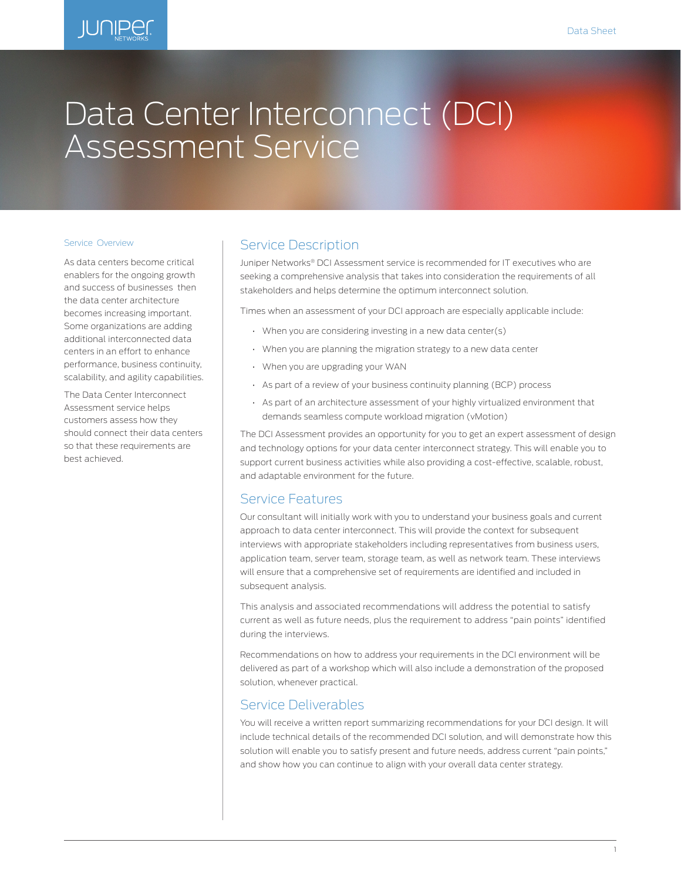

# Data Center Interconnect (DCI) Assessment Service

#### Service Overview

As data centers become critical enablers for the ongoing growth and success of businesses then the data center architecture becomes increasing important. Some organizations are adding additional interconnected data centers in an effort to enhance performance, business continuity, scalability, and agility capabilities.

The Data Center Interconnect Assessment service helps customers assess how they should connect their data centers so that these requirements are best achieved.

## Service Description

Juniper Networks® DCI Assessment service is recommended for IT executives who are seeking a comprehensive analysis that takes into consideration the requirements of all stakeholders and helps determine the optimum interconnect solution.

Times when an assessment of your DCI approach are especially applicable include:

- When you are considering investing in a new data center(s)
- When you are planning the migration strategy to a new data center
- When you are upgrading your WAN
- As part of a review of your business continuity planning (BCP) process
- As part of an architecture assessment of your highly virtualized environment that demands seamless compute workload migration (vMotion)

The DCI Assessment provides an opportunity for you to get an expert assessment of design and technology options for your data center interconnect strategy. This will enable you to support current business activities while also providing a cost-effective, scalable, robust, and adaptable environment for the future.

### Service Features

Our consultant will initially work with you to understand your business goals and current approach to data center interconnect. This will provide the context for subsequent interviews with appropriate stakeholders including representatives from business users, application team, server team, storage team, as well as network team. These interviews will ensure that a comprehensive set of requirements are identified and included in subsequent analysis.

This analysis and associated recommendations will address the potential to satisfy current as well as future needs, plus the requirement to address "pain points" identified during the interviews.

Recommendations on how to address your requirements in the DCI environment will be delivered as part of a workshop which will also include a demonstration of the proposed solution, whenever practical.

## Service Deliverables

You will receive a written report summarizing recommendations for your DCI design. It will include technical details of the recommended DCI solution, and will demonstrate how this solution will enable you to satisfy present and future needs, address current "pain points," and show how you can continue to align with your overall data center strategy.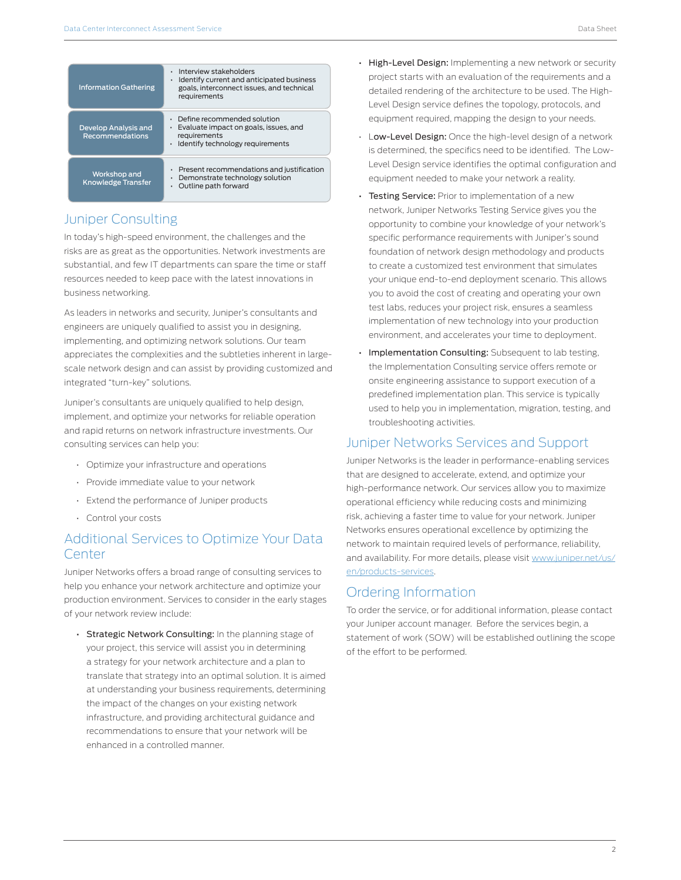| <b>Information Gathering</b>                   | Interview stakeholders<br>٠<br>Identify current and anticipated business<br>٠<br>goals, interconnect issues, and technical<br>requirements |
|------------------------------------------------|--------------------------------------------------------------------------------------------------------------------------------------------|
| Develop Analysis and<br><b>Recommendations</b> | • Define recommended solution<br>Evaluate impact on goals, issues, and<br>٠<br>requirements<br>· Identify technology requirements          |
| Workshop and<br><b>Knowledge Transfer</b>      | Present recommendations and justification<br>٠<br>Demonstrate technology solution<br>Outline path forward                                  |

## Juniper Consulting

In today's high-speed environment, the challenges and the risks are as great as the opportunities. Network investments are substantial, and few IT departments can spare the time or staff resources needed to keep pace with the latest innovations in business networking.

As leaders in networks and security, Juniper's consultants and engineers are uniquely qualified to assist you in designing, implementing, and optimizing network solutions. Our team appreciates the complexities and the subtleties inherent in largescale network design and can assist by providing customized and integrated "turn-key" solutions.

Juniper's consultants are uniquely qualified to help design, implement, and optimize your networks for reliable operation and rapid returns on network infrastructure investments. Our consulting services can help you:

- Optimize your infrastructure and operations
- Provide immediate value to your network
- Extend the performance of Juniper products
- Control your costs

# Additional Services to Optimize Your Data **Center**

Juniper Networks offers a broad range of consulting services to help you enhance your network architecture and optimize your production environment. Services to consider in the early stages of your network review include:

• Strategic Network Consulting: In the planning stage of your project, this service will assist you in determining a strategy for your network architecture and a plan to translate that strategy into an optimal solution. It is aimed at understanding your business requirements, determining the impact of the changes on your existing network infrastructure, and providing architectural guidance and recommendations to ensure that your network will be enhanced in a controlled manner.

- High-Level Design: Implementing a new network or security project starts with an evaluation of the requirements and a detailed rendering of the architecture to be used. The High-Level Design service defines the topology, protocols, and equipment required, mapping the design to your needs.
- Low-Level Design: Once the high-level design of a network is determined, the specifics need to be identified. The Low-Level Design service identifies the optimal configuration and equipment needed to make your network a reality.
- Testing Service: Prior to implementation of a new network, Juniper Networks Testing Service gives you the opportunity to combine your knowledge of your network's specific performance requirements with Juniper's sound foundation of network design methodology and products to create a customized test environment that simulates your unique end-to-end deployment scenario. This allows you to avoid the cost of creating and operating your own test labs, reduces your project risk, ensures a seamless implementation of new technology into your production environment, and accelerates your time to deployment.
- Implementation Consulting: Subsequent to lab testing, the Implementation Consulting service offers remote or onsite engineering assistance to support execution of a predefined implementation plan. This service is typically used to help you in implementation, migration, testing, and troubleshooting activities.

## Juniper Networks Services and Support

Juniper Networks is the leader in performance-enabling services that are designed to accelerate, extend, and optimize your high-performance network. Our services allow you to maximize operational efficiency while reducing costs and minimizing risk, achieving a faster time to value for your network. Juniper Networks ensures operational excellence by optimizing the network to maintain required levels of performance, reliability, and availability. For more details, please visit [www.juniper.net/us/](http://www.juniper.net/us/en/products-services) [en/products-services](http://www.juniper.net/us/en/products-services).

# Ordering Information

To order the service, or for additional information, please contact your Juniper account manager. Before the services begin, a statement of work (SOW) will be established outlining the scope of the effort to be performed.